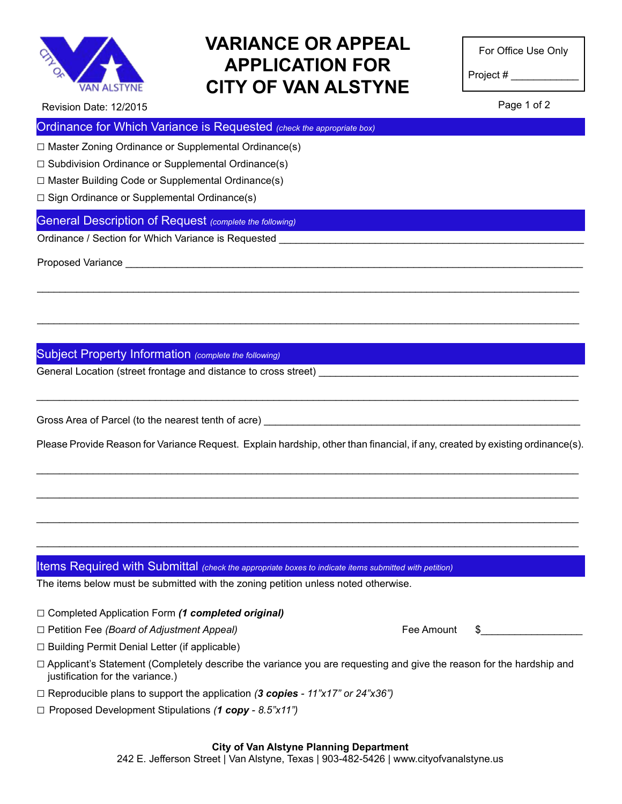

## **VARIANCE OR APPEAL APPLICATION FOR CITY OF VAN ALSTYNE**

For Office Use Only

Project # \_\_\_\_\_\_\_\_\_\_\_\_

Page 1 of 2

Revision Date: 12/2015

Ordinance for Which Variance is Requested *(check the appropriate box)*

 $\Box$  Master Zoning Ordinance or Supplemental Ordinance(s)

 $\Box$  Subdivision Ordinance or Supplemental Ordinance(s)

 $\square$  Master Building Code or Supplemental Ordinance(s)

 $\Box$  Sign Ordinance or Supplemental Ordinance(s)

### General Description of Request *(complete the following)*

Ordinance / Section for Which Variance is Requested

Proposed Variance \_\_\_\_\_\_\_\_\_\_\_\_\_\_\_\_\_\_\_\_\_\_\_\_\_\_\_\_\_\_\_\_\_\_\_\_\_\_\_\_\_\_\_\_\_\_\_\_\_\_\_\_\_\_\_\_\_\_\_\_\_\_\_\_\_\_\_\_\_\_\_\_\_\_\_\_\_\_\_\_\_

Subject Property Information *(complete the following)*

General Location (street frontage and distance to cross street)

Gross Area of Parcel (to the nearest tenth of acre)

Please Provide Reason for Variance Request. Explain hardship, other than financial, if any, created by existing ordinance(s).

\_\_\_\_\_\_\_\_\_\_\_\_\_\_\_\_\_\_\_\_\_\_\_\_\_\_\_\_\_\_\_\_\_\_\_\_\_\_\_\_\_\_\_\_\_\_\_\_\_\_\_\_\_\_\_\_\_\_\_\_\_\_\_\_\_\_\_\_\_\_\_\_\_\_\_\_\_\_\_\_\_\_\_\_\_\_\_\_\_\_\_\_\_\_\_\_

\_\_\_\_\_\_\_\_\_\_\_\_\_\_\_\_\_\_\_\_\_\_\_\_\_\_\_\_\_\_\_\_\_\_\_\_\_\_\_\_\_\_\_\_\_\_\_\_\_\_\_\_\_\_\_\_\_\_\_\_\_\_\_\_\_\_\_\_\_\_\_\_\_\_\_\_\_\_\_\_\_\_\_\_\_\_\_\_\_\_\_\_\_\_\_\_

\_\_\_\_\_\_\_\_\_\_\_\_\_\_\_\_\_\_\_\_\_\_\_\_\_\_\_\_\_\_\_\_\_\_\_\_\_\_\_\_\_\_\_\_\_\_\_\_\_\_\_\_\_\_\_\_\_\_\_\_\_\_\_\_\_\_\_\_\_\_\_\_\_\_\_\_\_\_\_\_\_\_\_\_\_\_\_\_\_\_\_\_\_\_\_\_

\_\_\_\_\_\_\_\_\_\_\_\_\_\_\_\_\_\_\_\_\_\_\_\_\_\_\_\_\_\_\_\_\_\_\_\_\_\_\_\_\_\_\_\_\_\_\_\_\_\_\_\_\_\_\_\_\_\_\_\_\_\_\_\_\_\_\_\_\_\_\_\_\_\_\_\_\_\_\_\_\_\_\_\_\_\_\_\_\_\_\_\_\_\_\_\_

\_\_\_\_\_\_\_\_\_\_\_\_\_\_\_\_\_\_\_\_\_\_\_\_\_\_\_\_\_\_\_\_\_\_\_\_\_\_\_\_\_\_\_\_\_\_\_\_\_\_\_\_\_\_\_\_\_\_\_\_\_\_\_\_\_\_\_\_\_\_\_\_\_\_\_\_\_\_\_\_\_\_\_\_\_\_\_\_\_\_\_\_\_\_\_\_

\_\_\_\_\_\_\_\_\_\_\_\_\_\_\_\_\_\_\_\_\_\_\_\_\_\_\_\_\_\_\_\_\_\_\_\_\_\_\_\_\_\_\_\_\_\_\_\_\_\_\_\_\_\_\_\_\_\_\_\_\_\_\_\_\_\_\_\_\_\_\_\_\_\_\_\_\_\_\_\_\_\_\_\_\_\_\_\_\_\_\_\_\_\_\_\_

 $\_$  ,  $\_$  ,  $\_$  ,  $\_$  ,  $\_$  ,  $\_$  ,  $\_$  ,  $\_$  ,  $\_$  ,  $\_$  ,  $\_$  ,  $\_$  ,  $\_$  ,  $\_$  ,  $\_$  ,  $\_$  ,  $\_$  ,  $\_$  ,  $\_$  ,  $\_$  ,  $\_$  ,  $\_$  ,  $\_$  ,  $\_$  ,  $\_$  ,  $\_$  ,  $\_$  ,  $\_$  ,  $\_$  ,  $\_$  ,  $\_$  ,  $\_$  ,  $\_$  ,  $\_$  ,  $\_$  ,  $\_$  ,  $\_$  ,

#### Items Required with Submittal *(check the appropriate boxes to indicate items submitted with petition)*

The items below must be submitted with the zoning petition unless noted otherwise.

- □ Completed Application Form *(1 completed original)*
- □ Petition Fee *(Board of Adjustment Appeal)* Fee Amount \$\_\_\_\_\_\_\_\_\_\_\_\_\_\_\_\_\_\_
- 

- □ Building Permit Denial Letter (if applicable)
- □ Applicant's Statement (Completely describe the variance you are requesting and give the reason for the hardship and justification for the variance.)
- □ Reproducible plans to support the application *(3 copies 11"x17" or 24"x36")*
- □ Proposed Development Stipulations *(1 copy 8.5"x11")*

#### **City of Van Alstyne Planning Department**

242 E. Jefferson Street | Van Alstyne, Texas | 903-482-5426 | www.cityofvanalstyne.us